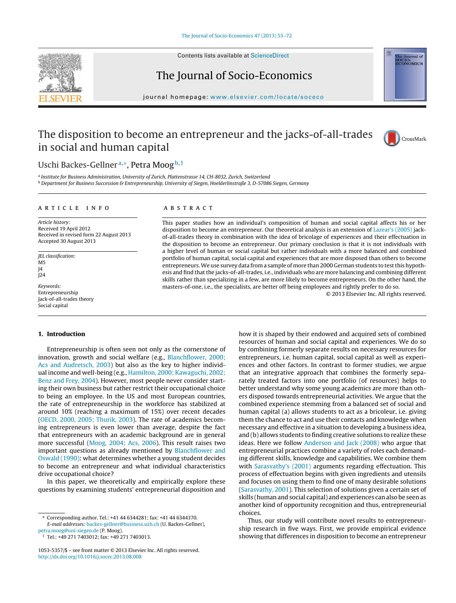

The Journal of Socio-Economics

journal homepage: [www.elsevier.com/locate/soceco](http://www.elsevier.com/locate/soceco)

## The disposition to become an entrepreneur and the jacks-of-all-trades in social and human capital



ne Journal of<br>OCIO-<br>CONOMICS

### Uschi Backes-Gellner<sup>a,∗</sup>, Petra Moog<sup>b,1</sup>

<sup>a</sup> Institute for Business Administration, University of Zurich, Plattenstrasse 14, CH-8032, Zurich, Switzerland <sup>b</sup> Department for Business Succession & Entrepreneurship, University of Siegen, Hoelderlinstraße 3, D-57086 Siegen, Germany

#### ARTICLE INFO

Article history: Received 19 April 2012 Received in revised form 22 August 2013 Accepted 30 August 2013

JEL classification: M5  $I_4$ J24

Keywords: Entrepreneurship Jack-of-all-trades theory Social capital

#### **1. Introduction**

Entrepreneurship is often seen not only as the cornerstone of innovation, growth and social welfare (e.g., [Blanchflower,](#page--1-0) [2000;](#page--1-0) [Acs](#page--1-0) [and](#page--1-0) [Audretsch,](#page--1-0) [2003\)](#page--1-0) but also as the key to higher individual income and well-being (e.g., [Hamilton,](#page--1-0) [2000;](#page--1-0) [Kawaguchi,](#page--1-0) [2002;](#page--1-0) [Benz](#page--1-0) [and](#page--1-0) [Frey,](#page--1-0) [2004\).](#page--1-0) However, most people never consider starting their own business but rather restrict their occupational choice to being an employee. In the US and most European countries, the rate of entrepreneurship in the workforce has stabilized at around 10% (reaching a maximum of 15%) over recent decades ([OECD,](#page--1-0) [2000,](#page--1-0) [2005;](#page--1-0) [Thurik,](#page--1-0) [2003\).](#page--1-0) The rate of academics becoming entrepreneurs is even lower than average, despite the fact that entrepreneurs with an academic background are in general more successful [\(Moog,](#page--1-0) [2004;](#page--1-0) [Acs,](#page--1-0) [2006\).](#page--1-0) This result raises two important questions as already mentioned by [Blanchflower](#page--1-0) [and](#page--1-0) [Oswald](#page--1-0) [\(1990\):](#page--1-0) what determines whether a young student decides to become an entrepreneur and what individual characteristics drive occupational choice?

In this paper, we theoretically and empirically explore these questions by examining students' entrepreneurial disposition and

#### a b s t r a c t

This paper studies how an individual's composition of human and social capital affects his or her disposition to become an entrepreneur. Our theoretical analysis is an extension of [Lazear's](#page--1-0) [\(2005\)](#page--1-0) jackof-all-trades theory in combination with the idea of bricolage of experiences and their effectuation in the disposition to become an entrepreneur. Our primary conclusion is that it is not individuals with a higher level of human or social capital but rather individuals with a more balanced and combined portfolio of human capital, social capital and experiences that are more disposed than others to become entrepreneurs.We use survey data from a sample of more than 2000 German students to testthis hypothesis and find that the jacks-of-all-trades, i.e., individuals who are more balancing and combining different skills rather than specializing in a few, are more likely to become entrepreneurs. On the other hand, the masters-of-one, i.e., the specialists, are better off being employees and rightly prefer to do so.

© 2013 Elsevier Inc. All rights reserved.

how it is shaped by their endowed and acquired sets of combined resources of human and social capital and experiences. We do so by combining formerly separate results on necessary resources for entrepreneurs, i.e. human capital, social capital as well as experiences and other factors. In contrast to former studies, we argue that an integrative approach that combines the formerly separately treated factors into one portfolio (of resources) helps to better understand why some young academics are more than others disposed towards entrepreneurial activities. We argue that the combined experience stemming from a balanced set of social and human capital (a) allows students to act as a bricoleur, i.e. giving them the chance to act and use their contacts and knowledge when necessary and effective in a situation to developing a business idea, and (b) allows students to finding creative solutions to realize these ideas. Here we follow [Anderson](#page--1-0) [and](#page--1-0) [Jack](#page--1-0) [\(2008\)](#page--1-0) who argue that entrepreneurial practices combine a variety of roles each demanding different skills, knowledge and capabilities. We combine them with [Sarasvathy's](#page--1-0) [\(2001\)](#page--1-0) arguments regarding effectuation. This process of effectuation begins with given ingredients and utensils and focuses on using them to find one of many desirable solutions [\(Sarasvathy,](#page--1-0) [2001\).](#page--1-0) This selection of solutions given a certain set of skills (human and social capital) and experiences can also be seen as another kind of opportunity recognition and thus, entrepreneurial choices.

Thus, our study will contribute novel results to entrepreneurship research in five ways. First, we provide empirical evidence showing that differences in disposition to become an entrepreneur

<sup>∗</sup> Corresponding author. Tel.: +41 44 6344281; fax: +41 44 6344370. E-mail addresses: [backes-gellner@business.uzh.ch](mailto:backes-gellner@business.uzh.ch) (U. Backes-Gellner), [petra.moog@uni-siegen.de](mailto:petra.moog@uni-siegen.de) (P. Moog).

<sup>1</sup> Tel.: +49 271 7403012; fax: +49 271 7403013.

<sup>1053-5357/\$</sup> – see front matter © 2013 Elsevier Inc. All rights reserved. [http://dx.doi.org/10.1016/j.socec.2013.08.008](dx.doi.org/10.1016/j.socec.2013.08.008)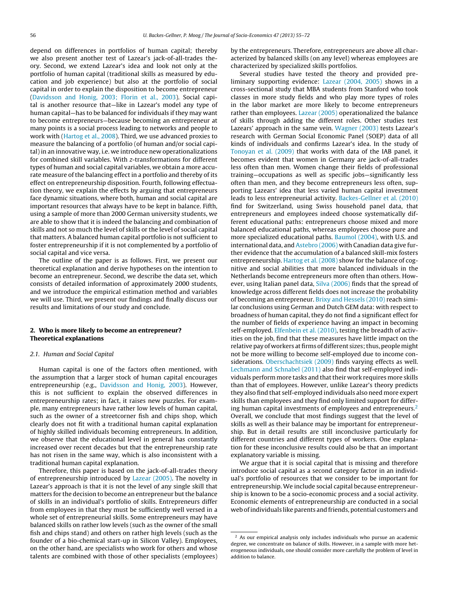depend on differences in portfolios of human capital; thereby we also present another test of Lazear's jack-of-all-trades theory. Second, we extend Lazear's idea and look not only at the portfolio of human capital (traditional skills as measured by education and job experience) but also at the portfolio of social capital in order to explain the disposition to become entrepreneur ([Davidsson](#page--1-0) [and](#page--1-0) [Honig,](#page--1-0) [2003;](#page--1-0) [Florin](#page--1-0) et [al.,](#page--1-0) [2003\).](#page--1-0) Social capital is another resource that—like in Lazear's model any type of human capital—has to be balanced for individuals if they may want to become entrepreneurs—because becoming an entrepreneur at many points is a social process leading to networks and people to work with ([Hartog](#page--1-0) et [al.,](#page--1-0) [2008\).](#page--1-0) Third, we use advanced proxies to measure the balancing of a portfolio (of human and/or social capital) in an innovative way, i.e. we introduce new operationalizations for combined skill variables. With z-transformations for different types of human and social capital variables, we obtain a more accurate measure of the balancing effect in a portfolio and thereby of its effect on entrepreneurship disposition. Fourth, following effectuation theory, we explain the effects by arguing that entrepreneurs face dynamic situations, where both, human and social capital are important resources that always have to be kept in balance. Fifth, using a sample of more than 2000 German university students, we are able to show that it is indeed the balancing and combination of skills and not so much the level of skills or the level of social capital that matters. A balanced human capital portfolio is not sufficient to foster entrepreneurship if it is not complemented by a portfolio of social capital and vice versa.

The outline of the paper is as follows. First, we present our theoretical explanation and derive hypotheses on the intention to become an entrepreneur. Second, we describe the data set, which consists of detailed information of approximately 2000 students, and we introduce the empirical estimation method and variables we will use. Third, we present our findings and finally discuss our results and limitations of our study and conclude.

#### **2. Who is more likely to become an entrepreneur? Theoretical explanations**

#### 2.1. Human and Social Capital

Human capital is one of the factors often mentioned, with the assumption that a larger stock of human capital encourages entrepreneurship (e.g., [Davidsson](#page--1-0) [and](#page--1-0) [Honig,](#page--1-0) [2003\).](#page--1-0) However, this is not sufficient to explain the observed differences in entrepreneurship rates; in fact, it raises new puzzles. For example, many entrepreneurs have rather low levels of human capital, such as the owner of a streetcorner fish and chips shop, which clearly does not fit with a traditional human capital explanation of highly skilled individuals becoming entrepreneurs. In addition, we observe that the educational level in general has constantly increased over recent decades but that the entrepreneurship rate has not risen in the same way, which is also inconsistent with a traditional human capital explanation.

Therefore, this paper is based on the jack-of-all-trades theory of entrepreneurship introduced by [Lazear](#page--1-0) [\(2005\).](#page--1-0) The novelty in Lazear's approach is that it is not the level of any single skill that matters for the decision to become an entrepreneur but the balance of skills in an individual's portfolio of skills. Entrepreneurs differ from employees in that they must be sufficiently well versed in a whole set of entrepreneurial skills. Some entrepreneurs may have balanced skills on rather low levels (such as the owner of the small fish and chips stand) and others on rather high levels (such as the founder of a bio-chemical start-up in Silicon Valley). Employees, on the other hand, are specialists who work for others and whose talents are combined with those of other specialists (employees) by the entrepreneurs. Therefore, entrepreneurs are above all characterized by balanced skills (on any level) whereas employees are characterized by specialized skills portfolios.

Several studies have tested the theory and provided preliminary supporting evidence: [Lazear](#page--1-0) [\(2004,](#page--1-0) [2005\)](#page--1-0) shows in a cross-sectional study that MBA students from Stanford who took classes in more study fields and who play more types of roles in the labor market are more likely to become entrepreneurs rather than employees. [Lazear](#page--1-0) [\(2005\)](#page--1-0) operationalized the balance of skills through adding the different roles. Other studies test Lazears' approach in the same vein. [Wagner](#page--1-0) [\(2003\)](#page--1-0) tests Lazear's research with German Social Economic Panel (SOEP) data of all kinds of individuals and confirms Lazear's idea. In the study of [Tonoyan](#page--1-0) et [al.](#page--1-0) [\(2009\)](#page--1-0) that works with data of the IAB panel, it becomes evident that women in Germany are jack-of-all-trades less often than men. Women change their fields of professional training—occupations as well as specific jobs—significantly less often than men, and they become entrepreneurs less often, supporting Lazears' idea that less varied human capital investment leads to less entrepreneurial activity. [Backes-Gellner](#page--1-0) et [al.](#page--1-0) [\(2010\)](#page--1-0) find for Switzerland, using Swiss household panel data, that entrepreneurs and employees indeed choose systematically different educational paths: entrepreneurs choose mixed and more balanced educational paths, whereas employees choose pure and more specialized educational paths. [Baumol](#page--1-0) [\(2004\),](#page--1-0) with U.S. and international data, and [Astebro](#page--1-0) [\(2006\)](#page--1-0) with Canadian data give further evidence that the accumulation of a balanced skill-mix fosters entrepreneurship. [Hartog](#page--1-0) et [al.](#page--1-0) [\(2008\)](#page--1-0) show for the balance of cognitive and social abilities that more balanced individuals in the Netherlands become entrepreneurs more often than others. However, using Italian panel data, [Silva](#page--1-0) [\(2006\)](#page--1-0) finds that the spread of knowledge across different fields does not increase the probability of becoming an entrepreneur. [Brixy](#page--1-0) [and](#page--1-0) [Hessels](#page--1-0) [\(2010\)](#page--1-0) reach similar conclusions using German and Dutch GEM data: with respect to broadness of human capital, they do not find a significant effect for the number of fields of experience having an impact in becoming self-employed. [Elfenbein](#page--1-0) et [al.](#page--1-0) [\(2010\),](#page--1-0) testing the breadth of activities on the job, find that these measures have little impact on the relative pay of workers at firms of different sizes; thus, people might not be more willing to become self-employed due to income con-siderations. [Oberschachtsiek](#page--1-0) [\(2009\)](#page--1-0) finds varying effects as well. [Lechmann](#page--1-0) [and](#page--1-0) [Schnabel](#page--1-0) [\(2011\)](#page--1-0) also find that self-employed individuals perform more tasks and that their work requires more skills than that of employees. However, unlike Lazear's theory predicts they also find that self-employed individuals also need more expert skills than employees and they find only limited support for differing human capital investments of employees and entrepreneurs. $2$ Overall, we conclude that most findings suggest that the level of skills as well as their balance may be important for entrepreneurship. But in detail results are still inconclusive particularly for different countries and different types of workers. One explanation for these inconclusive results could also be that an important explanatory variable is missing.

We argue that it is social capital that is missing and therefore introduce social capital as a second category factor in an individual's portfolio of resources that we consider to be important for entrepreneurship. We include social capital because entrepreneurship is known to be a socio-economic process and a social activity. Economic elements of entrepreneurship are conducted in a social web ofindividuals like parents and friends, potential customers and

<sup>&</sup>lt;sup>2</sup> As our empirical analysis only includes individuals who pursue an academic degree, we concentrate on balance of skills. However, in a sample with more heterogeneous individuals, one should consider more carefully the problem of level in addition to balance.